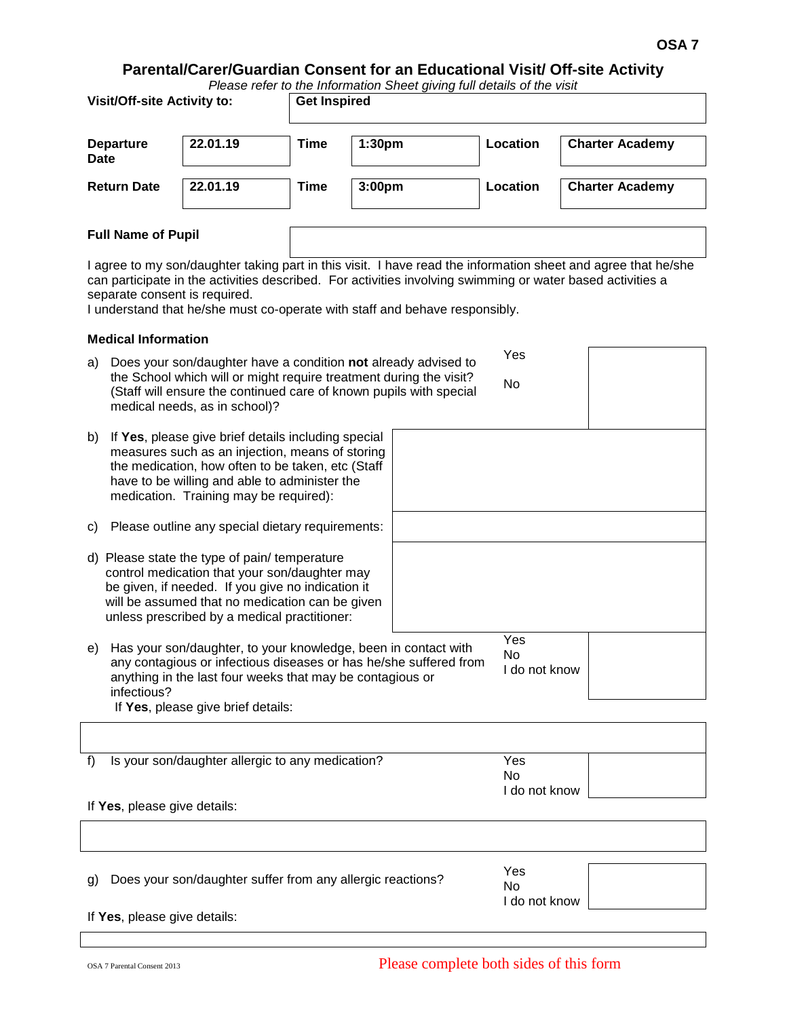# **Parental/Carer/Guardian Consent for an Educational Visit/ Off-site Activity**

| Please refer to the Information Sheet giving full details of the visit |  |
|------------------------------------------------------------------------|--|
|------------------------------------------------------------------------|--|

| <b>Visit/Off-site Activity to:</b> |          |      | <b>Get Inspired</b> |          |                        |  |  |
|------------------------------------|----------|------|---------------------|----------|------------------------|--|--|
| <b>Departure</b><br><b>Date</b>    | 22.01.19 | Time | 1:30 <sub>pm</sub>  | Location | <b>Charter Academy</b> |  |  |
| <b>Return Date</b>                 | 22.01.19 | Time | 3:00 <sub>pm</sub>  | Location | <b>Charter Academy</b> |  |  |
| East March of Booth                |          |      |                     |          |                        |  |  |

# **Full Name of Pupil**

I agree to my son/daughter taking part in this visit. I have read the information sheet and agree that he/she can participate in the activities described. For activities involving swimming or water based activities a separate consent is required.

I understand that he/she must co-operate with staff and behave responsibly.

### **Medical Information**

| a)                                                                                                                                                                                                                                                          | Does your son/daughter have a condition not already advised to<br>the School which will or might require treatment during the visit?<br>(Staff will ensure the continued care of known pupils with special<br>medical needs, as in school)?            | Yes<br>No                         |                                   |  |
|-------------------------------------------------------------------------------------------------------------------------------------------------------------------------------------------------------------------------------------------------------------|--------------------------------------------------------------------------------------------------------------------------------------------------------------------------------------------------------------------------------------------------------|-----------------------------------|-----------------------------------|--|
| b)                                                                                                                                                                                                                                                          | If Yes, please give brief details including special<br>measures such as an injection, means of storing<br>the medication, how often to be taken, etc (Staff<br>have to be willing and able to administer the<br>medication. Training may be required): |                                   |                                   |  |
| C)                                                                                                                                                                                                                                                          | Please outline any special dietary requirements:                                                                                                                                                                                                       |                                   |                                   |  |
| d)                                                                                                                                                                                                                                                          | Please state the type of pain/ temperature<br>control medication that your son/daughter may<br>be given, if needed. If you give no indication it<br>will be assumed that no medication can be given<br>unless prescribed by a medical practitioner:    |                                   |                                   |  |
| Has your son/daughter, to your knowledge, been in contact with<br>e)<br>any contagious or infectious diseases or has he/she suffered from<br>anything in the last four weeks that may be contagious or<br>infectious?<br>If Yes, please give brief details: |                                                                                                                                                                                                                                                        |                                   | Yes<br><b>No</b><br>I do not know |  |
|                                                                                                                                                                                                                                                             |                                                                                                                                                                                                                                                        |                                   |                                   |  |
| f)                                                                                                                                                                                                                                                          | Is your son/daughter allergic to any medication?                                                                                                                                                                                                       | Yes<br><b>No</b><br>I do not know |                                   |  |
|                                                                                                                                                                                                                                                             | If Yes, please give details:                                                                                                                                                                                                                           |                                   |                                   |  |
|                                                                                                                                                                                                                                                             |                                                                                                                                                                                                                                                        |                                   |                                   |  |
| g)                                                                                                                                                                                                                                                          | Does your son/daughter suffer from any allergic reactions?                                                                                                                                                                                             |                                   | Yes<br>$N_{\alpha}$               |  |

If **Yes**, please give details:

No

I do not know